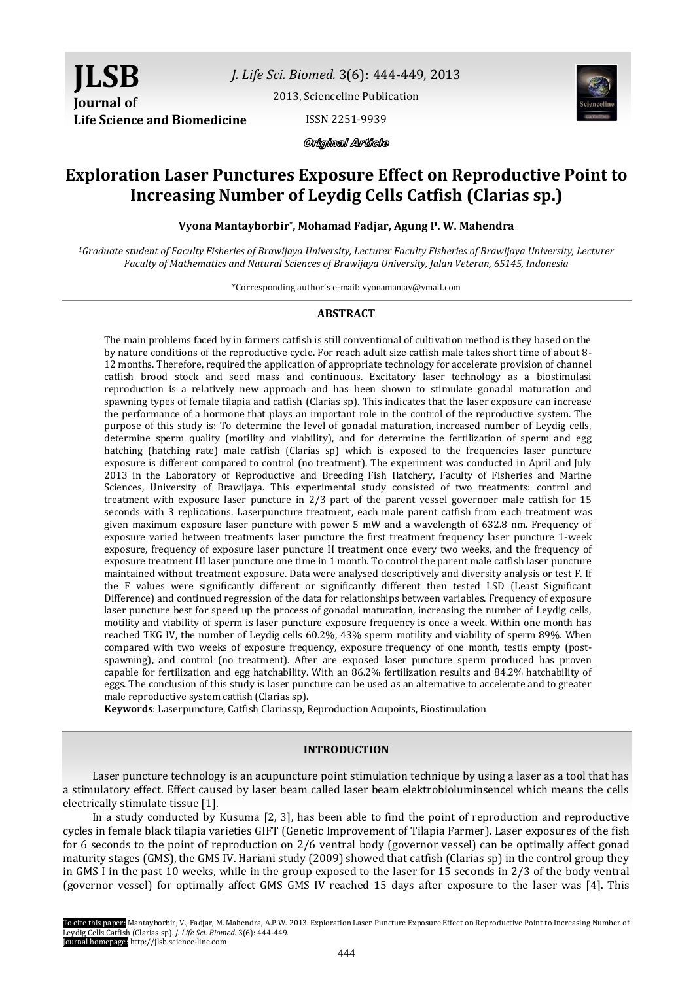*J. Life Sci. Biomed.* 3(6): 444-449, 2013

[2013, Scienceline Publication](http://www.science-line.com/index/)

ISSN 2251-9939



Original Article

# **Exploration Laser Punctures Exposure Effect on Reproductive Point to Increasing Number of Leydig Cells Catfish (Clarias sp.)**

**Vyona Mantayborbir\* , Mohamad Fadjar, Agung P. W. Mahendra** 

*<sup>1</sup>Graduate student of Faculty Fisheries of Brawijaya University, Lecturer Faculty Fisheries of Brawijaya University, Lecturer Faculty of Mathematics and Natural Sciences of Brawijaya University, Jalan Veteran, 65145, Indonesia*

\*Corresponding author's e-mail: vyonamantay@ymail.com

# **ABSTRACT**

The main problems faced by in farmers catfish is still conventional of cultivation method is they based on the by nature conditions of the reproductive cycle. For reach adult size catfish male takes short time of about 8- 12 months. Therefore, required the application of appropriate technology for accelerate provision of channel catfish brood stock and seed mass and continuous. Excitatory laser technology as a biostimulasi reproduction is a relatively new approach and has been shown to stimulate gonadal maturation and spawning types of female tilapia and catfish (Clarias sp). This indicates that the laser exposure can increase the performance of a hormone that plays an important role in the control of the reproductive system. The purpose of this study is: To determine the level of gonadal maturation, increased number of Leydig cells, determine sperm quality (motility and viability), and for determine the fertilization of sperm and egg hatching (hatching rate) male catfish (Clarias sp) which is exposed to the frequencies laser puncture exposure is different compared to control (no treatment). The experiment was conducted in April and July 2013 in the Laboratory of Reproductive and Breeding Fish Hatchery, Faculty of Fisheries and Marine Sciences, University of Brawijaya. This experimental study consisted of two treatments: control and treatment with exposure laser puncture in 2/3 part of the parent vessel governoer male catfish for 15 seconds with 3 replications. Laserpuncture treatment, each male parent catfish from each treatment was given maximum exposure laser puncture with power 5 mW and a wavelength of 632.8 nm. Frequency of exposure varied between treatments laser puncture the first treatment frequency laser puncture 1-week exposure, frequency of exposure laser puncture II treatment once every two weeks, and the frequency of exposure treatment III laser puncture one time in 1 month. To control the parent male catfish laser puncture maintained without treatment exposure. Data were analysed descriptively and diversity analysis or test F. If the F values were significantly different or significantly different then tested LSD (Least Significant Difference) and continued regression of the data for relationships between variables. Frequency of exposure laser puncture best for speed up the process of gonadal maturation, increasing the number of Leydig cells, motility and viability of sperm is laser puncture exposure frequency is once a week. Within one month has reached TKG IV, the number of Leydig cells 60.2%, 43% sperm motility and viability of sperm 89%. When compared with two weeks of exposure frequency, exposure frequency of one month, testis empty (postspawning), and control (no treatment). After are exposed laser puncture sperm produced has proven capable for fertilization and egg hatchability. With an 86.2% fertilization results and 84.2% hatchability of eggs. The conclusion of this study is laser puncture can be used as an alternative to accelerate and to greater male reproductive system catfish (Clarias sp).

**Keywords**: Laserpuncture, Catfish Clariassp, Reproduction Acupoints, Biostimulation

# **INTRODUCTION**

Laser puncture technology is an acupuncture point stimulation technique by using a laser as a tool that has a stimulatory effect. Effect caused by laser beam called laser beam elektrobioluminsencel which means the cells electrically stimulate tissue [1].

In a study conducted by Kusuma [2, 3], has been able to find the point of reproduction and reproductive cycles in female black tilapia varieties GIFT (Genetic Improvement of Tilapia Farmer). Laser exposures of the fish for 6 seconds to the point of reproduction on 2/6 ventral body (governor vessel) can be optimally affect gonad maturity stages (GMS), the GMS IV. Hariani study (2009) showed that catfish (Clarias sp) in the control group they in GMS I in the past 10 weeks, while in the group exposed to the laser for 15 seconds in 2/3 of the body ventral (governor vessel) for optimally affect GMS GMS IV reached 15 days after exposure to the laser was [4]. This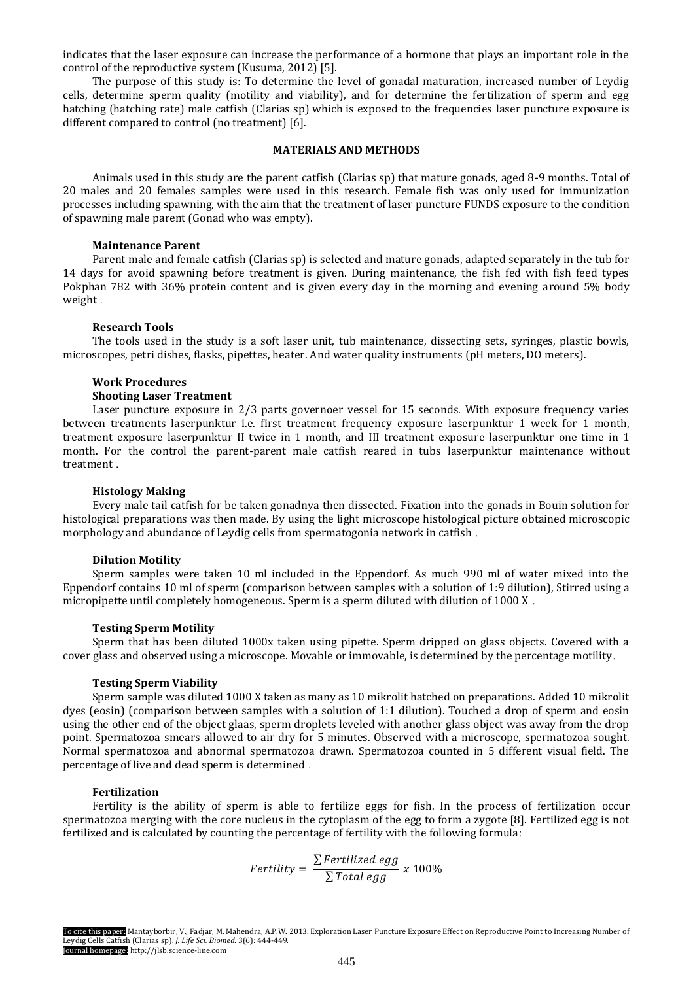indicates that the laser exposure can increase the performance of a hormone that plays an important role in the control of the reproductive system (Kusuma, 2012) [5].

The purpose of this study is: To determine the level of gonadal maturation, increased number of Leydig cells, determine sperm quality (motility and viability), and for determine the fertilization of sperm and egg hatching (hatching rate) male catfish (Clarias sp) which is exposed to the frequencies laser puncture exposure is different compared to control (no treatment) [6].

# **MATERIALS AND METHODS**

Animals used in this study are the parent catfish (Clarias sp) that mature gonads, aged 8-9 months. Total of 20 males and 20 females samples were used in this research. Female fish was only used for immunization processes including spawning, with the aim that the treatment of laser puncture FUNDS exposure to the condition of spawning male parent (Gonad who was empty).

#### **Maintenance Parent**

Parent male and female catfish (Clarias sp) is selected and mature gonads, adapted separately in the tub for 14 days for avoid spawning before treatment is given. During maintenance, the fish fed with fish feed types Pokphan 782 with 36% protein content and is given every day in the morning and evening around 5% body weight .

### **Research Tools**

The tools used in the study is a soft laser unit, tub maintenance, dissecting sets, syringes, plastic bowls, microscopes, petri dishes, flasks, pipettes, heater. And water quality instruments (pH meters, DO meters).

#### **Work Procedures**

#### **Shooting Laser Treatment**

Laser puncture exposure in 2/3 parts governoer vessel for 15 seconds. With exposure frequency varies between treatments laserpunktur i.e. first treatment frequency exposure laserpunktur 1 week for 1 month, treatment exposure laserpunktur II twice in 1 month, and III treatment exposure laserpunktur one time in 1 month. For the control the parent-parent male catfish reared in tubs laserpunktur maintenance without treatment .

# **Histology Making**

Every male tail catfish for be taken gonadnya then dissected. Fixation into the gonads in Bouin solution for histological preparations was then made. By using the light microscope histological picture obtained microscopic morphology and abundance of Leydig cells from spermatogonia network in catfish .

# **Dilution Motility**

Sperm samples were taken 10 ml included in the Eppendorf. As much 990 ml of water mixed into the Eppendorf contains 10 ml of sperm (comparison between samples with a solution of 1:9 dilution), Stirred using a micropipette until completely homogeneous. Sperm is a sperm diluted with dilution of 1000 X .

#### **Testing Sperm Motility**

Sperm that has been diluted 1000x taken using pipette. Sperm dripped on glass objects. Covered with a cover glass and observed using a microscope. Movable or immovable, is determined by the percentage motility.

#### **Testing Sperm Viability**

Sperm sample was diluted 1000 X taken as many as 10 mikrolit hatched on preparations. Added 10 mikrolit dyes (eosin) (comparison between samples with a solution of 1:1 dilution). Touched a drop of sperm and eosin using the other end of the object glaas, sperm droplets leveled with another glass object was away from the drop point. Spermatozoa smears allowed to air dry for 5 minutes. Observed with a microscope, spermatozoa sought. Normal spermatozoa and abnormal spermatozoa drawn. Spermatozoa counted in 5 different visual field. The percentage of live and dead sperm is determined .

# **Fertilization**

Fertility is the ability of sperm is able to fertilize eggs for fish. In the process of fertilization occur spermatozoa merging with the core nucleus in the cytoplasm of the egg to form a zygote [8]. Fertilized egg is not fertilized and is calculated by counting the percentage of fertility with the following formula:

$$
Fertility = \frac{\sum \text{Fertilized egg}}{\sum \text{Total egg}} \times 100\%
$$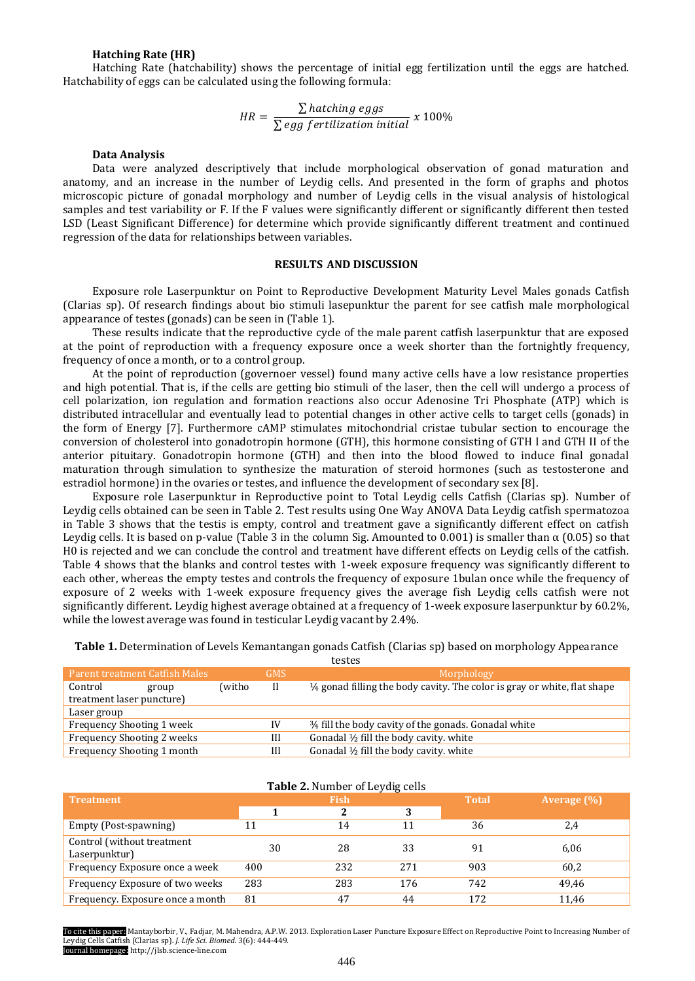#### **Hatching Rate (HR)**

Hatching Rate (hatchability) shows the percentage of initial egg fertilization until the eggs are hatched. Hatchability of eggs can be calculated using the following formula:

$$
HR = \frac{\sum \text{hatching eggs}}{\sum \text{egg fertilization initial}} \times 100\%
$$

#### **Data Analysis**

Data were analyzed descriptively that include morphological observation of gonad maturation and anatomy, and an increase in the number of Leydig cells. And presented in the form of graphs and photos microscopic picture of gonadal morphology and number of Leydig cells in the visual analysis of histological samples and test variability or F. If the F values were significantly different or significantly different then tested LSD (Least Significant Difference) for determine which provide significantly different treatment and continued regression of the data for relationships between variables.

### **RESULTS AND DISCUSSION**

Exposure role Laserpunktur on Point to Reproductive Development Maturity Level Males gonads Catfish (Clarias sp). Of research findings about bio stimuli lasepunktur the parent for see catfish male morphological appearance of testes (gonads) can be seen in (Table 1).

These results indicate that the reproductive cycle of the male parent catfish laserpunktur that are exposed at the point of reproduction with a frequency exposure once a week shorter than the fortnightly frequency, frequency of once a month, or to a control group.

At the point of reproduction (governoer vessel) found many active cells have a low resistance properties and high potential. That is, if the cells are getting bio stimuli of the laser, then the cell will undergo a process of cell polarization, ion regulation and formation reactions also occur Adenosine Tri Phosphate (ATP) which is distributed intracellular and eventually lead to potential changes in other active cells to target cells (gonads) in the form of Energy [7]. Furthermore cAMP stimulates mitochondrial cristae tubular section to encourage the conversion of cholesterol into gonadotropin hormone (GTH), this hormone consisting of GTH I and GTH II of the anterior pituitary. Gonadotropin hormone (GTH) and then into the blood flowed to induce final gonadal maturation through simulation to synthesize the maturation of steroid hormones (such as testosterone and estradiol hormone) in the ovaries or testes, and influence the development of secondary sex [8].

Exposure role Laserpunktur in Reproductive point to Total Leydig cells Catfish (Clarias sp). Number of Leydig cells obtained can be seen in Table 2. Test results using One Way ANOVA Data Leydig catfish spermatozoa in Table 3 shows that the testis is empty, control and treatment gave a significantly different effect on catfish Leydig cells. It is based on p-value (Table 3 in the column Sig. Amounted to 0.001) is smaller than  $\alpha$  (0.05) so that H0 is rejected and we can conclude the control and treatment have different effects on Leydig cells of the catfish. Table 4 shows that the blanks and control testes with 1-week exposure frequency was significantly different to each other, whereas the empty testes and controls the frequency of exposure 1bulan once while the frequency of exposure of 2 weeks with 1-week exposure frequency gives the average fish Leydig cells catfish were not significantly different. Leydig highest average obtained at a frequency of 1-week exposure laserpunktur by 60.2%, while the lowest average was found in testicular Leydig vacant by 2.4%.

**Table 1.** Determination of Levels Kemantangan gonads Catfish (Clarias sp) based on morphology Appearance testes

| Parent treatment Catfish Males |       |        | GMS | Morphology                                                                          |
|--------------------------------|-------|--------|-----|-------------------------------------------------------------------------------------|
| Control                        | group | (witho | H   | $\frac{1}{4}$ gonad filling the body cavity. The color is gray or white, flat shape |
| treatment laser puncture)      |       |        |     |                                                                                     |
| Laser group                    |       |        |     |                                                                                     |
| Frequency Shooting 1 week      |       |        | IV  | 34 fill the body cavity of the gonads. Gonadal white                                |
| Frequency Shooting 2 weeks     |       |        | Ш   | Gonadal $\frac{1}{2}$ fill the body cavity. white                                   |
| Frequency Shooting 1 month     |       |        | Ш   | Gonadal $\frac{1}{2}$ fill the body cavity. white                                   |

### **Table 2.** Number of Leydig cells **Treatment Fish Total Average (%) 1 2 3** Empty (Post-spawning) 11 14 11 36 2,4 Control (without treatment Laserpunktur) 30 28 33 91 6,06 Frequency Exposure once a week  $400$  232 271 903 60,2 Frequency Exposure of two weeks 283 283 176 742 49,46 Frequency. Exposure once a month 81 47 44 172 11,46

To cite this paper: Mantayborbir, V., Fadjar, M. Mahendra, A.P.W. 2013. Exploration Laser Puncture Exposure Effect on Reproductive Point to Increasing Number of Leydig Cells Catfish (Clarias sp). *J. Life Sci. Biomed.* 3(6): 444-449. Journal homepage: http://jlsb.science-line.com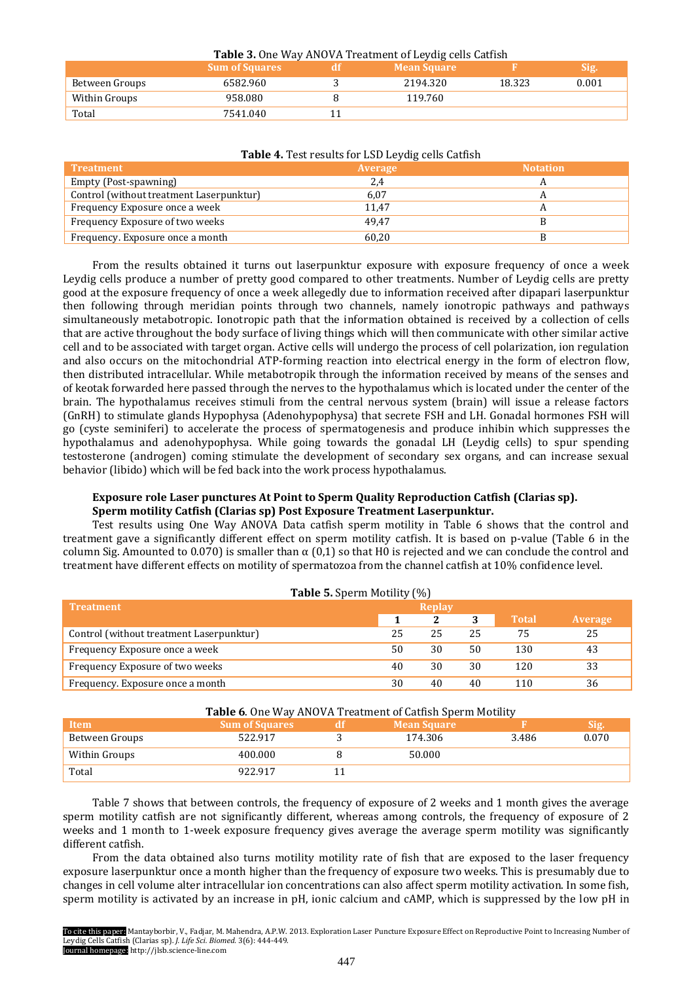| <b>Table 3.</b> One Way ANOVA Treatment of Leydig cells Catfish<br><b>Sum of Squares</b><br><b>Mean Square</b><br>Sig. |          |  |          |        |       |  |  |  |  |
|------------------------------------------------------------------------------------------------------------------------|----------|--|----------|--------|-------|--|--|--|--|
| Between Groups                                                                                                         | 6582.960 |  | 2194.320 | 18.323 | 0.001 |  |  |  |  |
| Within Groups                                                                                                          | 958.080  |  | 119.760  |        |       |  |  |  |  |
| Total                                                                                                                  | 7541.040 |  |          |        |       |  |  |  |  |

| <b>Table 4.</b> Lest results for LSD Levalg cells Catrish |                |                 |  |  |  |  |  |
|-----------------------------------------------------------|----------------|-----------------|--|--|--|--|--|
| <b>Treatment</b>                                          | <b>Average</b> | <b>Notation</b> |  |  |  |  |  |
| Empty (Post-spawning)                                     | 2,4            |                 |  |  |  |  |  |
| Control (without treatment Laserpunktur)                  | 6,07           |                 |  |  |  |  |  |
| Frequency Exposure once a week                            | 11.47          |                 |  |  |  |  |  |
| Frequency Exposure of two weeks                           | 49.47          |                 |  |  |  |  |  |
| Frequency. Exposure once a month                          | 60,20          |                 |  |  |  |  |  |

# **Table 4.** Test results for LSD Leydig cells Catfish

From the results obtained it turns out laserpunktur exposure with exposure frequency of once a week Leydig cells produce a number of pretty good compared to other treatments. Number of Leydig cells are pretty good at the exposure frequency of once a week allegedly due to information received after dipapari laserpunktur then following through meridian points through two channels, namely ionotropic pathways and pathways simultaneously metabotropic. Ionotropic path that the information obtained is received by a collection of cells that are active throughout the body surface of living things which will then communicate with other similar active cell and to be associated with target organ. Active cells will undergo the process of cell polarization, ion regulation and also occurs on the mitochondrial ATP-forming reaction into electrical energy in the form of electron flow, then distributed intracellular. While metabotropik through the information received by means of the senses and of keotak forwarded here passed through the nerves to the hypothalamus which is located under the center of the brain. The hypothalamus receives stimuli from the central nervous system (brain) will issue a release factors (GnRH) to stimulate glands Hypophysa (Adenohypophysa) that secrete FSH and LH. Gonadal hormones FSH will go (cyste seminiferi) to accelerate the process of spermatogenesis and produce inhibin which suppresses the hypothalamus and adenohypophysa. While going towards the gonadal LH (Leydig cells) to spur spending testosterone (androgen) coming stimulate the development of secondary sex organs, and can increase sexual behavior (libido) which will be fed back into the work process hypothalamus.

# **Exposure role Laser punctures At Point to Sperm Quality Reproduction Catfish (Clarias sp). Sperm motility Catfish (Clarias sp) Post Exposure Treatment Laserpunktur.**

Test results using One Way ANOVA Data catfish sperm motility in Table 6 shows that the control and treatment gave a significantly different effect on sperm motility catfish. It is based on p-value (Table 6 in the column Sig. Amounted to 0.070) is smaller than  $\alpha$  (0,1) so that H0 is rejected and we can conclude the control and treatment have different effects on motility of spermatozoa from the channel catfish at 10% confidence level.

| <b>Table 5.</b> Sperm Motility (%)       |        |    |    |              |         |  |  |
|------------------------------------------|--------|----|----|--------------|---------|--|--|
| <b>Treatment</b>                         | Replay |    |    |              |         |  |  |
|                                          |        |    |    | <b>Total</b> | Average |  |  |
| Control (without treatment Laserpunktur) | 25     | 25 | 25 | 75           | 25      |  |  |
| Frequency Exposure once a week           | 50     | 30 | 50 | 130          | 43      |  |  |
| Frequency Exposure of two weeks          | 40     | 30 | 30 | 120          | 33      |  |  |
| Frequency. Exposure once a month         | 30     | 40 | 40 | 110          | 36      |  |  |

# Table 6. One Way ANOVA Treatment of Catfish Sperm Motility

| Item           | <b>Sum of Squares</b> | <b>Mean Square</b> |       | <b>Sig.</b> |
|----------------|-----------------------|--------------------|-------|-------------|
| Between Groups | 522.917               | 174.306            | 3.486 | 0.070       |
| Within Groups  | 400.000               | 50.000             |       |             |
| Total          | 922.917               |                    |       |             |

Table 7 shows that between controls, the frequency of exposure of 2 weeks and 1 month gives the average sperm motility catfish are not significantly different, whereas among controls, the frequency of exposure of 2 weeks and 1 month to 1-week exposure frequency gives average the average sperm motility was significantly different catfish.

From the data obtained also turns motility motility rate of fish that are exposed to the laser frequency exposure laserpunktur once a month higher than the frequency of exposure two weeks. This is presumably due to changes in cell volume alter intracellular ion concentrations can also affect sperm motility activation. In some fish, sperm motility is activated by an increase in pH, ionic calcium and cAMP, which is suppressed by the low pH in

To cite this paper: Mantayborbir, V., Fadjar, M. Mahendra, A.P.W. 2013. Exploration Laser Puncture Exposure Effect on Reproductive Point to Increasing Number of Leydig Cells Catfish (Clarias sp). *J. Life Sci. Biomed.* 3(6): 444-449. Journal homepage: http://jlsb.science-line.com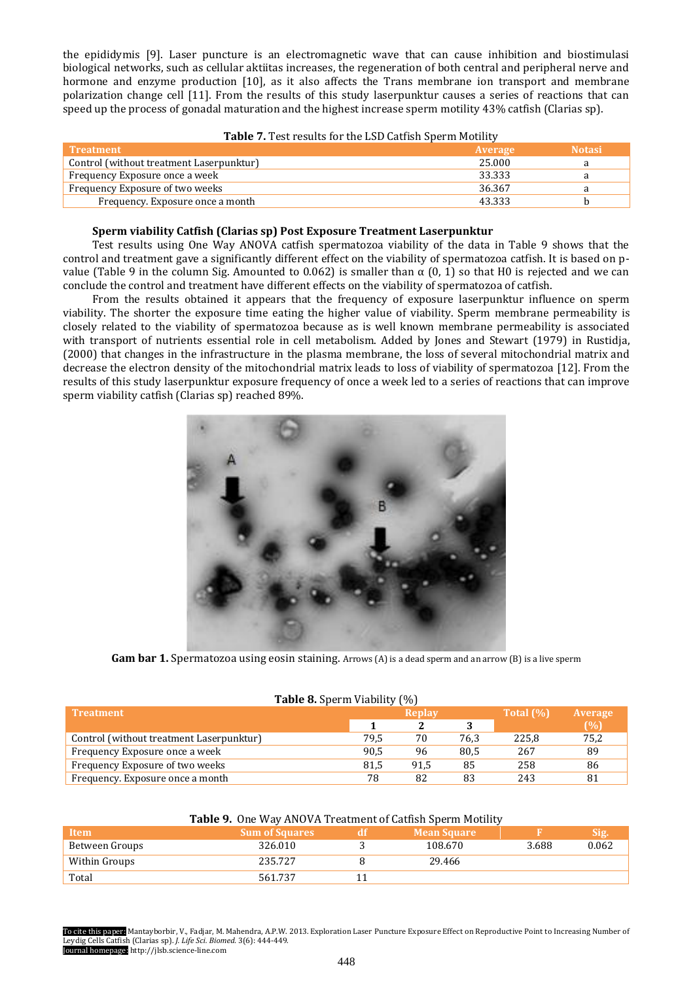the epididymis [9]. Laser puncture is an electromagnetic wave that can cause inhibition and biostimulasi biological networks, such as cellular aktiitas increases, the regeneration of both central and peripheral nerve and hormone and enzyme production [10], as it also affects the Trans membrane ion transport and membrane polarization change cell [11]. From the results of this study laserpunktur causes a series of reactions that can speed up the process of gonadal maturation and the highest increase sperm motility 43% catfish (Clarias sp).

| <b>Treatment</b>                         | Average | <b>Notasi</b> |
|------------------------------------------|---------|---------------|
| Control (without treatment Laserpunktur) | 25.000  |               |
| Frequency Exposure once a week           | 33.333  |               |
| Frequency Exposure of two weeks          | 36.367  |               |
| Frequency. Exposure once a month         | 43.333  |               |

# Table 7. Test results for the LSD Catfish Sperm Motility

# **Sperm viability Catfish (Clarias sp) Post Exposure Treatment Laserpunktur**

Test results using One Way ANOVA catfish spermatozoa viability of the data in Table 9 shows that the control and treatment gave a significantly different effect on the viability of spermatozoa catfish. It is based on pvalue (Table 9 in the column Sig. Amounted to 0.062) is smaller than  $\alpha$  (0, 1) so that H0 is rejected and we can conclude the control and treatment have different effects on the viability of spermatozoa of catfish.

From the results obtained it appears that the frequency of exposure laserpunktur influence on sperm viability. The shorter the exposure time eating the higher value of viability. Sperm membrane permeability is closely related to the viability of spermatozoa because as is well known membrane permeability is associated with transport of nutrients essential role in cell metabolism. Added by Jones and Stewart (1979) in Rustidja, (2000) that changes in the infrastructure in the plasma membrane, the loss of several mitochondrial matrix and decrease the electron density of the mitochondrial matrix leads to loss of viability of spermatozoa [12]. From the results of this study laserpunktur exposure frequency of once a week led to a series of reactions that can improve sperm viability catfish (Clarias sp) reached 89%.



**Gam bar 1.** Spermatozoa using eosin staining. Arrows (A) is a dead sperm and an arrow (B) is a live sperm

| <b>Treatment</b>                         |      | Replay |      | Total (%) | Average |
|------------------------------------------|------|--------|------|-----------|---------|
|                                          |      |        |      |           | (%)     |
| Control (without treatment Laserpunktur) | 79.5 | 70     | 76.3 | 225.8     | 75,2    |
| Frequency Exposure once a week           | 90.5 | 96     | 80.5 | 267       | 89      |
| Frequency Exposure of two weeks          | 81.5 | 91.5   | 85   | 258       | 86      |
| Frequency. Exposure once a month         | 78   | 82     | 83   | 243       | 81      |

| <b>Table 9.</b> One Way ANOVA Treatment of Catfish Sperm Motility |                       |     |                    |       |             |  |  |
|-------------------------------------------------------------------|-----------------------|-----|--------------------|-------|-------------|--|--|
| Item                                                              | <b>Sum of Squares</b> | -dt | <b>Mean Square</b> |       | <b>Sig.</b> |  |  |
| Between Groups                                                    | 326.010               |     | 108.670            | 3.688 | 0.062       |  |  |
| Within Groups                                                     | 235.727               |     | 29.466             |       |             |  |  |
| Total                                                             | 561.737               |     |                    |       |             |  |  |

# **Table 8. 2.**  $\overline{S}$  **Table 8.**  $\overline{S}$  **Co**

To cite this paper: Mantayborbir, V., Fadjar, M. Mahendra, A.P.W. 2013. Exploration Laser Puncture Exposure Effect on Reproductive Point to Increasing Number of Leydig Cells Catfish (Clarias sp). *J. Life Sci. Biomed.* 3(6): 444-449. Journal homepage: http://jlsb.science-line.com